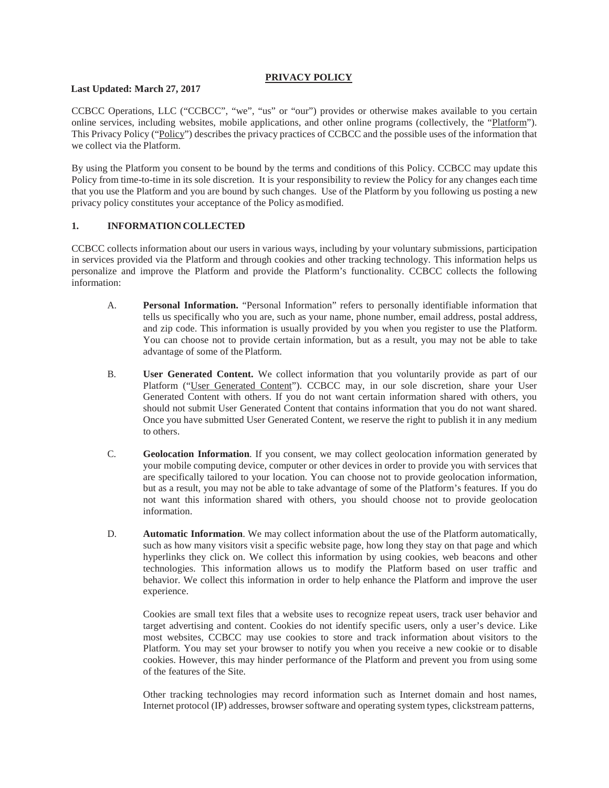### **PRIVACY POLICY**

#### **Last Updated: March 27, 2017**

CCBCC Operations, LLC ("CCBCC", "we", "us" or "our") provides or otherwise makes available to you certain online services, including websites, mobile applications, and other online programs (collectively, the "Platform"). This Privacy Policy ("Policy") describes the privacy practices of CCBCC and the possible uses of the information that we collect via the Platform.

By using the Platform you consent to be bound by the terms and conditions of this Policy. CCBCC may update this Policy from time-to-time in its sole discretion. It is your responsibility to review the Policy for any changes each time that you use the Platform and you are bound by such changes. Use of the Platform by you following us posting a new privacy policy constitutes your acceptance of the Policy asmodified.

### **1. INFORMATION COLLECTED**

CCBCC collects information about our users in various ways, including by your voluntary submissions, participation in services provided via the Platform and through cookies and other tracking technology. This information helps us personalize and improve the Platform and provide the Platform's functionality. CCBCC collects the following information:

- A. **Personal Information.** "Personal Information" refers to personally identifiable information that tells us specifically who you are, such as your name, phone number, email address, postal address, and zip code. This information is usually provided by you when you register to use the Platform. You can choose not to provide certain information, but as a result, you may not be able to take advantage of some of the Platform.
- B. **User Generated Content.** We collect information that you voluntarily provide as part of our Platform ("User Generated Content"). CCBCC may, in our sole discretion, share your User Generated Content with others. If you do not want certain information shared with others, you should not submit User Generated Content that contains information that you do not want shared. Once you have submitted User Generated Content, we reserve the right to publish it in any medium to others.
- C. **Geolocation Information**. If you consent, we may collect geolocation information generated by your mobile computing device, computer or other devices in order to provide you with services that are specifically tailored to your location. You can choose not to provide geolocation information, but as a result, you may not be able to take advantage of some of the Platform's features. If you do not want this information shared with others, you should choose not to provide geolocation information.
- D. **Automatic Information**. We may collect information about the use of the Platform automatically, such as how many visitors visit a specific website page, how long they stay on that page and which hyperlinks they click on. We collect this information by using cookies, web beacons and other technologies. This information allows us to modify the Platform based on user traffic and behavior. We collect this information in order to help enhance the Platform and improve the user experience.

Cookies are small text files that a website uses to recognize repeat users, track user behavior and target advertising and content. Cookies do not identify specific users, only a user's device. Like most websites, CCBCC may use cookies to store and track information about visitors to the Platform. You may set your browser to notify you when you receive a new cookie or to disable cookies. However, this may hinder performance of the Platform and prevent you from using some of the features of the Site.

Other tracking technologies may record information such as Internet domain and host names, Internet protocol (IP) addresses, browser software and operating system types, clickstream patterns,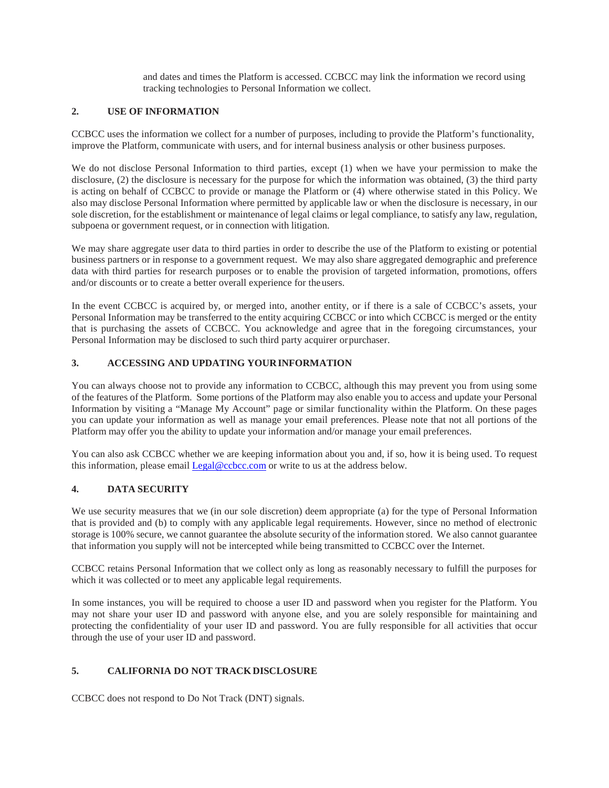and dates and times the Platform is accessed. CCBCC may link the information we record using tracking technologies to Personal Information we collect.

### **2. USE OF INFORMATION**

CCBCC uses the information we collect for a number of purposes, including to provide the Platform's functionality, improve the Platform, communicate with users, and for internal business analysis or other business purposes.

We do not disclose Personal Information to third parties, except (1) when we have your permission to make the disclosure, (2) the disclosure is necessary for the purpose for which the information was obtained, (3) the third party is acting on behalf of CCBCC to provide or manage the Platform or (4) where otherwise stated in this Policy. We also may disclose Personal Information where permitted by applicable law or when the disclosure is necessary, in our sole discretion, for the establishment or maintenance of legal claims or legal compliance, to satisfy any law, regulation, subpoena or government request, or in connection with litigation.

We may share aggregate user data to third parties in order to describe the use of the Platform to existing or potential business partners or in response to a government request. We may also share aggregated demographic and preference data with third parties for research purposes or to enable the provision of targeted information, promotions, offers and/or discounts or to create a better overall experience for the users.

In the event CCBCC is acquired by, or merged into, another entity, or if there is a sale of CCBCC's assets, your Personal Information may be transferred to the entity acquiring CCBCC or into which CCBCC is merged or the entity that is purchasing the assets of CCBCC. You acknowledge and agree that in the foregoing circumstances, your Personal Information may be disclosed to such third party acquirer orpurchaser.

## **3. ACCESSING AND UPDATING YOURINFORMATION**

You can always choose not to provide any information to CCBCC, although this may prevent you from using some of the features of the Platform. Some portions of the Platform may also enable you to access and update your Personal Information by visiting a "Manage My Account" page or similar functionality within the Platform. On these pages you can update your information as well as manage your email preferences. Please note that not all portions of the Platform may offer you the ability to update your information and/or manage your email preferences.

You can also ask CCBCC whether we are keeping information about you and, if so, how it is being used. To request this information, please email [Legal@ccbcc.com](mailto:Legal@ccbcc.com) or write to us at the address below.

### **4. DATA SECURITY**

We use security measures that we (in our sole discretion) deem appropriate (a) for the type of Personal Information that is provided and (b) to comply with any applicable legal requirements. However, since no method of electronic storage is 100% secure, we cannot guarantee the absolute security of the information stored. We also cannot guarantee that information you supply will not be intercepted while being transmitted to CCBCC over the Internet.

CCBCC retains Personal Information that we collect only as long as reasonably necessary to fulfill the purposes for which it was collected or to meet any applicable legal requirements.

In some instances, you will be required to choose a user ID and password when you register for the Platform. You may not share your user ID and password with anyone else, and you are solely responsible for maintaining and protecting the confidentiality of your user ID and password. You are fully responsible for all activities that occur through the use of your user ID and password.

# **5. CALIFORNIA DO NOT TRACKDISCLOSURE**

CCBCC does not respond to Do Not Track (DNT) signals.